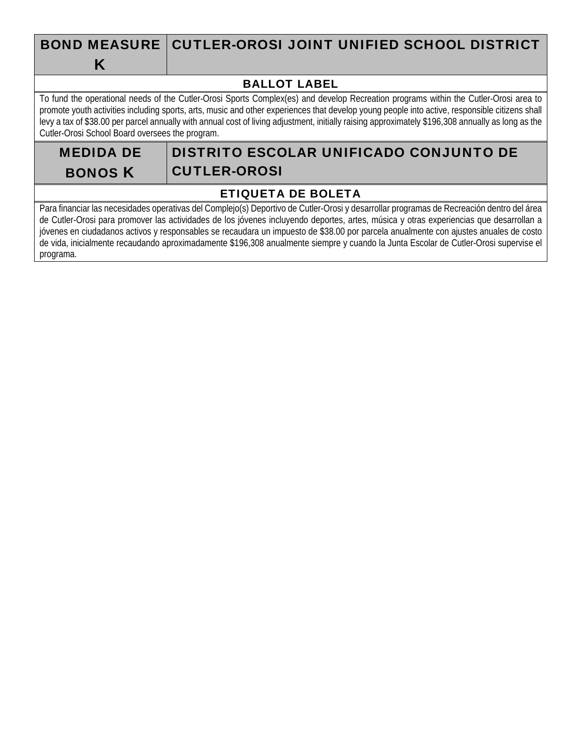# BOND MEASURE K

# CUTLER-OROSI JOINT UNIFIED SCHOOL DISTRICT

### BALLOT LABEL

To fund the operational needs of the Cutler-Orosi Sports Complex(es) and develop Recreation programs within the Cutler-Orosi area to promote youth activities including sports, arts, music and other experiences that develop young people into active, responsible citizens shall levy a tax of \$38.00 per parcel annually with annual cost of living adjustment, initially raising approximately \$196,308 annually as long as the Cutler-Orosi School Board oversees the program.

MEDIDA DE BONOS K

# DISTRITO ESCOLAR UNIFICADO CONJUNTO DE CUTLER-OROSI

### ETIQUETA DE BOLETA

Para financiar las necesidades operativas del Complejo(s) Deportivo de Cutler-Orosi y desarrollar programas de Recreación dentro del área de Cutler-Orosi para promover las actividades de los jóvenes incluyendo deportes, artes, música y otras experiencias que desarrollan a jóvenes en ciudadanos activos y responsables se recaudara un impuesto de \$38.00 por parcela anualmente con ajustes anuales de costo de vida, inicialmente recaudando aproximadamente \$196,308 anualmente siempre y cuando la Junta Escolar de Cutler-Orosi supervise el programa.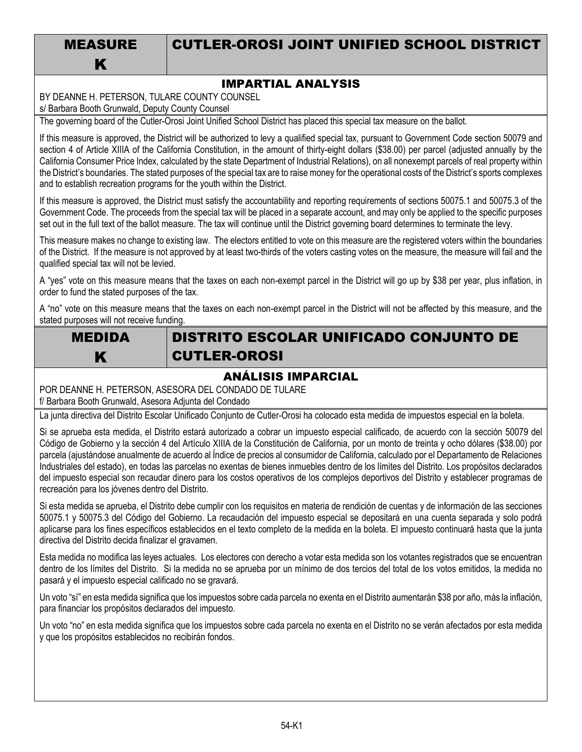MEASURE K

# CUTLER-OROSI JOINT UNIFIED SCHOOL DISTRICT

### IMPARTIAL ANALYSIS

BY DEANNE H. PETERSON, TULARE COUNTY COUNSEL

s/ Barbara Booth Grunwald, Deputy County Counsel

The governing board of the Cutler-Orosi Joint Unified School District has placed this special tax measure on the ballot.

If this measure is approved, the District will be authorized to levy a qualified special tax, pursuant to Government Code section 50079 and section 4 of Article XIIIA of the California Constitution, in the amount of thirty-eight dollars (\$38.00) per parcel (adjusted annually by the California Consumer Price Index, calculated by the state Department of Industrial Relations), on all nonexempt parcels of real property within the District's boundaries. The stated purposes of the special tax are to raise money for the operational costs of the District's sports complexes and to establish recreation programs for the youth within the District.

If this measure is approved, the District must satisfy the accountability and reporting requirements of sections 50075.1 and 50075.3 of the Government Code. The proceeds from the special tax will be placed in a separate account, and may only be applied to the specific purposes set out in the full text of the ballot measure. The tax will continue until the District governing board determines to terminate the levy.

This measure makes no change to existing law. The electors entitled to vote on this measure are the registered voters within the boundaries of the District. If the measure is not approved by at least two-thirds of the voters casting votes on the measure, the measure will fail and the qualified special tax will not be levied.

A "yes" vote on this measure means that the taxes on each non-exempt parcel in the District will go up by \$38 per year, plus inflation, in order to fund the stated purposes of the tax.

A "no" vote on this measure means that the taxes on each non-exempt parcel in the District will not be affected by this measure, and the stated purposes will not receive funding.



# DISTRITO ESCOLAR UNIFICADO CONJUNTO DE CUTLER-OROSI

### ANÁLISIS IMPARCIAL

POR DEANNE H. PETERSON, ASESORA DEL CONDADO DE TULARE f/ Barbara Booth Grunwald, Asesora Adjunta del Condado

La junta directiva del Distrito Escolar Unificado Conjunto de Cutler-Orosi ha colocado esta medida de impuestos especial en la boleta.

Si se aprueba esta medida, el Distrito estará autorizado a cobrar un impuesto especial calificado, de acuerdo con la sección 50079 del Código de Gobierno y la sección 4 del Artículo XIIIA de la Constitución de California, por un monto de treinta y ocho dólares (\$38.00) por parcela (ajustándose anualmente de acuerdo al Índice de precios al consumidor de California, calculado por el Departamento de Relaciones Industriales del estado), en todas las parcelas no exentas de bienes inmuebles dentro de los límites del Distrito. Los propósitos declarados del impuesto especial son recaudar dinero para los costos operativos de los complejos deportivos del Distrito y establecer programas de recreación para los jóvenes dentro del Distrito.

Si esta medida se aprueba, el Distrito debe cumplir con los requisitos en materia de rendición de cuentas y de información de las secciones 50075.1 y 50075.3 del Código del Gobierno. La recaudación del impuesto especial se depositará en una cuenta separada y solo podrá aplicarse para los fines específicos establecidos en el texto completo de la medida en la boleta. El impuesto continuará hasta que la junta directiva del Distrito decida finalizar el gravamen.

Esta medida no modifica las leyes actuales. Los electores con derecho a votar esta medida son los votantes registrados que se encuentran dentro de los límites del Distrito. Si la medida no se aprueba por un mínimo de dos tercios del total de los votos emitidos, la medida no pasará y el impuesto especial calificado no se gravará.

Un voto "sí" en esta medida significa que los impuestos sobre cada parcela no exenta en el Distrito aumentarán \$38 por año, más la inflación, para financiar los propósitos declarados del impuesto.

Un voto "no" en esta medida significa que los impuestos sobre cada parcela no exenta en el Distrito no se verán afectados por esta medida y que los propósitos establecidos no recibirán fondos.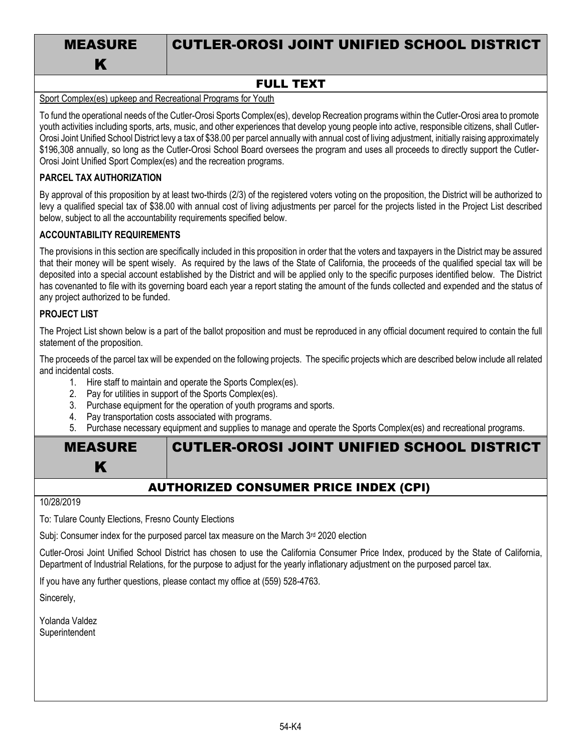|  | <b>MEASURE</b> |  |  |
|--|----------------|--|--|
|  | К              |  |  |

# CUTLER-OROSI JOINT UNIFIED SCHOOL DISTRICT

### FULL TEXT

#### Sport Complex(es) upkeep and Recreational Programs for Youth

To fund the operational needs of the Cutler-Orosi Sports Complex(es), develop Recreation programs within the Cutler-Orosi area to promote youth activities including sports, arts, music, and other experiences that develop young people into active, responsible citizens, shall Cutler-Orosi Joint Unified School District levy a tax of \$38.00 per parcel annually with annual cost of living adjustment, initially raising approximately \$196,308 annually, so long as the Cutler-Orosi School Board oversees the program and uses all proceeds to directly support the Cutler-Orosi Joint Unified Sport Complex(es) and the recreation programs.

#### **PARCEL TAX AUTHORIZATION**

By approval of this proposition by at least two-thirds (2/3) of the registered voters voting on the proposition, the District will be authorized to levy a qualified special tax of \$38.00 with annual cost of living adjustments per parcel for the projects listed in the Project List described below, subject to all the accountability requirements specified below.

#### **ACCOUNTABILITY REQUIREMENTS**

The provisions in this section are specifically included in this proposition in order that the voters and taxpayers in the District may be assured that their money will be spent wisely. As required by the laws of the State of California, the proceeds of the qualified special tax will be deposited into a special account established by the District and will be applied only to the specific purposes identified below. The District has covenanted to file with its governing board each year a report stating the amount of the funds collected and expended and the status of any project authorized to be funded.

#### **PROJECT LIST**

The Project List shown below is a part of the ballot proposition and must be reproduced in any official document required to contain the full statement of the proposition.

The proceeds of the parcel tax will be expended on the following projects. The specific projects which are described below include all related and incidental costs.

- 1. Hire staff to maintain and operate the Sports Complex(es).
- 2. Pay for utilities in support of the Sports Complex(es).
- 3. Purchase equipment for the operation of youth programs and sports.
- 4. Pay transportation costs associated with programs.
- 5. Purchase necessary equipment and supplies to manage and operate the Sports Complex(es) and recreational programs.

| <b>MEASURE</b>                               | <b>CUTLER-OROSI JOINT UNIFIED SCHOOL DISTRICT</b> |  |  |  |  |
|----------------------------------------------|---------------------------------------------------|--|--|--|--|
|                                              |                                                   |  |  |  |  |
| <b>AUTHORIZED CONSUMER PRICE INDEX (CPI)</b> |                                                   |  |  |  |  |

10/28/2019

To: Tulare County Elections, Fresno County Elections

Subj: Consumer index for the purposed parcel tax measure on the March 3rd 2020 election

Cutler-Orosi Joint Unified School District has chosen to use the California Consumer Price Index, produced by the State of California, Department of Industrial Relations, for the purpose to adjust for the yearly inflationary adjustment on the purposed parcel tax.

If you have any further questions, please contact my office at (559) 528-4763.

Sincerely,

Yolanda Valdez Superintendent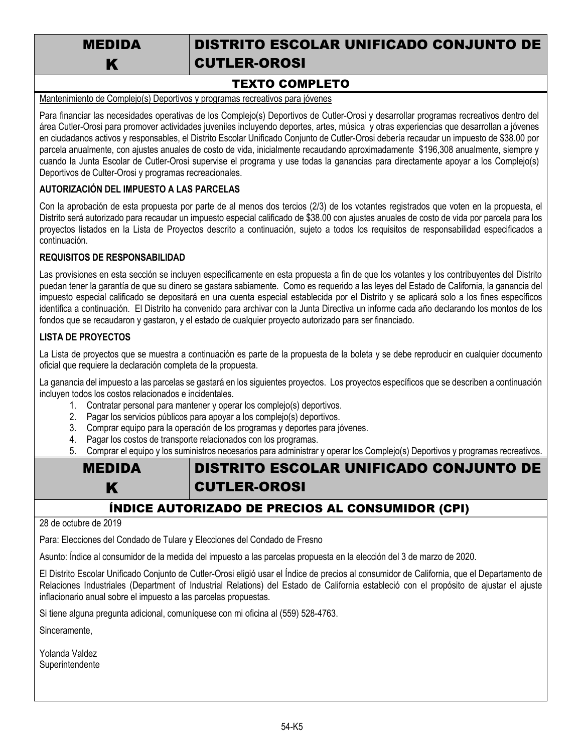MEDIDA K

# DISTRITO ESCOLAR UNIFICADO CONJUNTO DE CUTLER-OROSI

### TEXTO COMPLETO

Mantenimiento de Complejo(s) Deportivos y programas recreativos para jóvenes

Para financiar las necesidades operativas de los Complejo(s) Deportivos de Cutler-Orosi y desarrollar programas recreativos dentro del área Cutler-Orosi para promover actividades juveniles incluyendo deportes, artes, música y otras experiencias que desarrollan a jóvenes en ciudadanos activos y responsables, el Distrito Escolar Unificado Conjunto de Cutler-Orosi debería recaudar un impuesto de \$38.00 por parcela anualmente, con ajustes anuales de costo de vida, inicialmente recaudando aproximadamente \$196,308 anualmente, siempre y cuando la Junta Escolar de Cutler-Orosi supervise el programa y use todas la ganancias para directamente apoyar a los Complejo(s) Deportivos de Culter-Orosi y programas recreacionales.

#### **AUTORIZACIÓN DEL IMPUESTO A LAS PARCELAS**

Con la aprobación de esta propuesta por parte de al menos dos tercios (2/3) de los votantes registrados que voten en la propuesta, el Distrito será autorizado para recaudar un impuesto especial calificado de \$38.00 con ajustes anuales de costo de vida por parcela para los proyectos listados en la Lista de Proyectos descrito a continuación, sujeto a todos los requisitos de responsabilidad especificados a continuación.

#### **REQUISITOS DE RESPONSABILIDAD**

Las provisiones en esta sección se incluyen específicamente en esta propuesta a fin de que los votantes y los contribuyentes del Distrito puedan tener la garantía de que su dinero se gastara sabiamente. Como es requerido a las leyes del Estado de California, la ganancia del impuesto especial calificado se depositará en una cuenta especial establecida por el Distrito y se aplicará solo a los fines específicos identifica a continuación. El Distrito ha convenido para archivar con la Junta Directiva un informe cada año declarando los montos de los fondos que se recaudaron y gastaron, y el estado de cualquier proyecto autorizado para ser financiado.

#### **LISTA DE PROYECTOS**

La Lista de proyectos que se muestra a continuación es parte de la propuesta de la boleta y se debe reproducir en cualquier documento oficial que requiere la declaración completa de la propuesta.

La ganancia del impuesto a las parcelas se gastará en los siguientes proyectos. Los proyectos específicos que se describen a continuación incluyen todos los costos relacionados e incidentales.

- 1. Contratar personal para mantener y operar los complejo(s) deportivos.
- 2. Pagar los servicios públicos para apoyar a los complejo(s) deportivos.
- 3. Comprar equipo para la operación de los programas y deportes para jóvenes.
- 4. Pagar los costos de transporte relacionados con los programas.
- 5. Comprar el equipo y los suministros necesarios para administrar y operar los Complejo(s) Deportivos y programas recreativos.

| <b>MEDIDA</b> | <b>DISTRITO ESCOLAR UNIFICADO CONJUNTO DE</b> |
|---------------|-----------------------------------------------|
|               | <b>CUTLER-OROSI</b>                           |

### ÍNDICE AUTORIZADO DE PRECIOS AL CONSUMIDOR (CPI)

28 de octubre de 2019

Para: Elecciones del Condado de Tulare y Elecciones del Condado de Fresno

Asunto: Índice al consumidor de la medida del impuesto a las parcelas propuesta en la elección del 3 de marzo de 2020.

El Distrito Escolar Unificado Conjunto de Cutler-Orosi eligió usar el Índice de precios al consumidor de California, que el Departamento de Relaciones Industriales (Department of Industrial Relations) del Estado de California estableció con el propósito de ajustar el ajuste inflacionario anual sobre el impuesto a las parcelas propuestas.

Si tiene alguna pregunta adicional, comuníquese con mi oficina al (559) 528-4763.

Sinceramente,

Yolanda Valdez **Superintendente**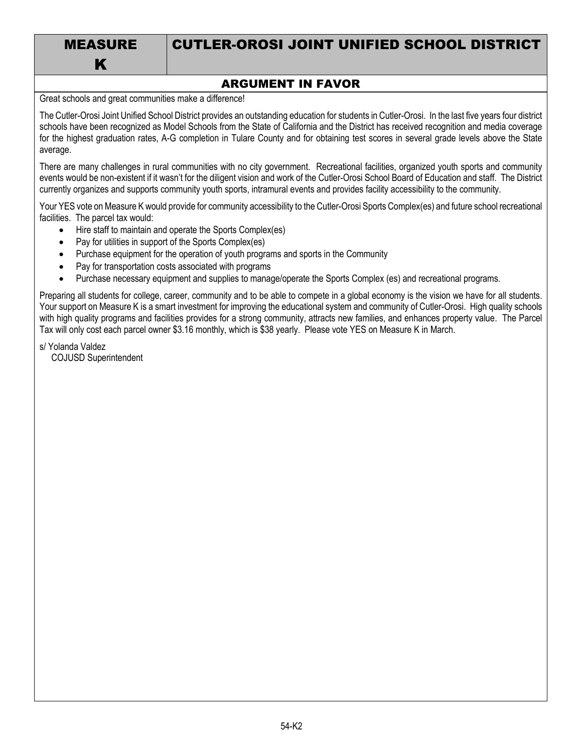| <b>MEASURE</b> |
|----------------|
| К              |

# CUTLER-OROSI JOINT UNIFIED SCHOOL DISTRICT

### ARGUMENT IN FAVOR

Great schools and great communities make a difference!

The Cutler-Orosi Joint Unified School District provides an outstanding education for students in Cutler-Orosi. In the last five years four district schools have been recognized as Model Schools from the State of California and the District has received recognition and media coverage for the highest graduation rates, A-G completion in Tulare County and for obtaining test scores in several grade levels above the State average.

There are many challenges in rural communities with no city government. Recreational facilities, organized youth sports and community events would be non-existent if it wasn't for the diligent vision and work of the Cutler-Orosi School Board of Education and staff. The District currently organizes and supports community youth sports, intramural events and provides facility accessibility to the community.

Your YES vote on Measure K would provide for community accessibility to the Cutler-Orosi Sports Complex(es) and future school recreational facilities. The parcel tax would:

- Hire staff to maintain and operate the Sports Complex(es)
- Pay for utilities in support of the Sports Complex(es)
- Purchase equipment for the operation of youth programs and sports in the Community
- Pay for transportation costs associated with programs
- Purchase necessary equipment and supplies to manage/operate the Sports Complex (es) and recreational programs.

Preparing all students for college, career, community and to be able to compete in a global economy is the vision we have for all students. Your support on Measure K is a smart investment for improving the educational system and community of Cutler-Orosi. High quality schools with high quality programs and facilities provides for a strong community, attracts new families, and enhances property value. The Parcel Tax will only cost each parcel owner \$3.16 monthly, which is \$38 yearly. Please vote YES on Measure K in March.

s/ Yolanda Valdez COJUSD Superintendent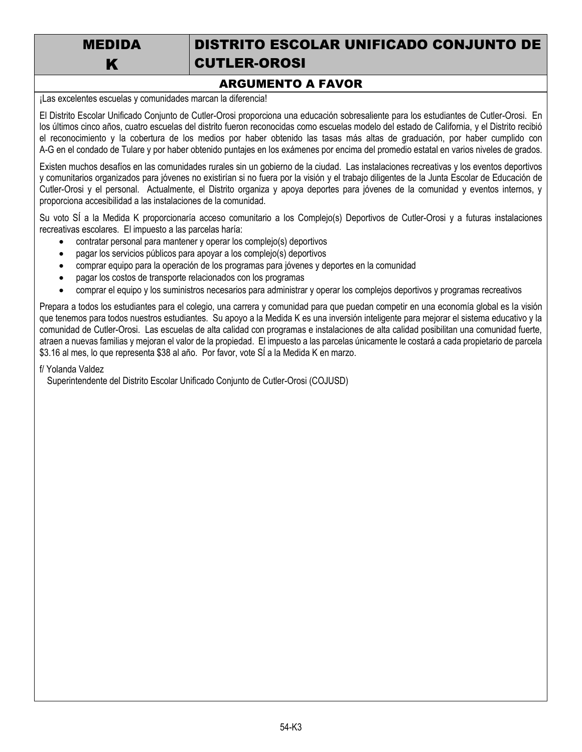MEDIDA K

# DISTRITO ESCOLAR UNIFICADO CONJUNTO DE CUTLER-OROSI

### ARGUMENTO A FAVOR

¡Las excelentes escuelas y comunidades marcan la diferencia!

El Distrito Escolar Unificado Conjunto de Cutler-Orosi proporciona una educación sobresaliente para los estudiantes de Cutler-Orosi. En los últimos cinco años, cuatro escuelas del distrito fueron reconocidas como escuelas modelo del estado de California, y el Distrito recibió el reconocimiento y la cobertura de los medios por haber obtenido las tasas más altas de graduación, por haber cumplido con A-G en el condado de Tulare y por haber obtenido puntajes en los exámenes por encima del promedio estatal en varios niveles de grados.

Existen muchos desafíos en las comunidades rurales sin un gobierno de la ciudad. Las instalaciones recreativas y los eventos deportivos y comunitarios organizados para jóvenes no existirían si no fuera por la visión y el trabajo diligentes de la Junta Escolar de Educación de Cutler-Orosi y el personal. Actualmente, el Distrito organiza y apoya deportes para jóvenes de la comunidad y eventos internos, y proporciona accesibilidad a las instalaciones de la comunidad.

Su voto SÍ a la Medida K proporcionaría acceso comunitario a los Complejo(s) Deportivos de Cutler-Orosi y a futuras instalaciones recreativas escolares. El impuesto a las parcelas haría:

- contratar personal para mantener y operar los complejo(s) deportivos
- pagar los servicios públicos para apoyar a los complejo(s) deportivos
- comprar equipo para la operación de los programas para jóvenes y deportes en la comunidad
- pagar los costos de transporte relacionados con los programas
- comprar el equipo y los suministros necesarios para administrar y operar los complejos deportivos y programas recreativos

Prepara a todos los estudiantes para el colegio, una carrera y comunidad para que puedan competir en una economía global es la visión que tenemos para todos nuestros estudiantes. Su apoyo a la Medida K es una inversión inteligente para mejorar el sistema educativo y la comunidad de Cutler-Orosi. Las escuelas de alta calidad con programas e instalaciones de alta calidad posibilitan una comunidad fuerte, atraen a nuevas familias y mejoran el valor de la propiedad. El impuesto a las parcelas únicamente le costará a cada propietario de parcela \$3.16 al mes, lo que representa \$38 al año. Por favor, vote SÍ a la Medida K en marzo.

f/ Yolanda Valdez

Superintendente del Distrito Escolar Unificado Conjunto de Cutler-Orosi (COJUSD)